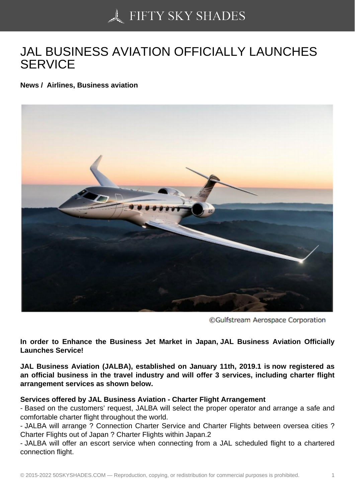## [JAL BUSINESS AVIAT](https://50skyshades.com)ION OFFICIALLY LAUNCHES **SERVICE**

News / Airlines, Business aviation

In order to Enhance the Business Jet Market in Japan, JAL Business Aviation Officially Launches Service!

JAL Business Aviation (JALBA), established on January 11th, 2019.1 is now registered as an official business in the travel industry and will offer 3 services, including charter flight arrangement services as shown below.

Services offered by JAL Business Aviation - Charter Flight Arrangement

- Based on the customers' request, JALBA will select the proper operator and arrange a safe and comfortable charter flight throughout the world.

- JALBA will arrange ? Connection Charter Service and Charter Flights between oversea cities ? Charter Flights out of Japan ? Charter Flights within Japan.2

- JALBA will offer an escort service when connecting from a JAL scheduled flight to a chartered connection flight.